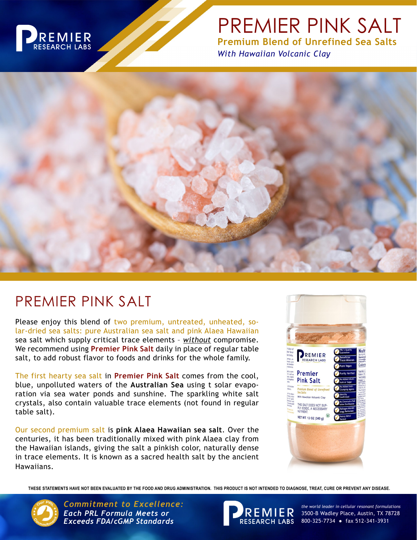

# PREMIER PINK SALT **Premium Blend of Unrefined Sea Salts**

*With Hawaiian Volcanic Clay*



## PREMIER PINK SALT

Please enjoy this blend of two premium, untreated, unheated, solar-dried sea salts: pure Australian sea salt and pink Alaea Hawaiian sea salt which supply critical trace elements – *without* compromise. We recommend using **Premier Pink Salt** daily in place of regular table salt, to add robust flavor to foods and drinks for the whole family.

The first hearty sea salt in **Premier Pink Salt** comes from the cool, blue, unpolluted waters of the **Australian Sea** using t solar evaporation via sea water ponds and sunshine. The sparkling white salt crystals, also contain valuable trace elements (not found in regular table salt).

Our second premium salt is **pink Alaea Hawaiian sea salt**. Over the centuries, it has been traditionally mixed with pink Alaea clay from the Hawaiian islands, giving the salt a pinkish color, naturally dense in trace elements. It is known as a sacred health salt by the ancient Hawaiians.



**THESE STATEMENTS HAVE NOT BEEN EVALUATED BY THE FOOD AND DRUG ADMINISTRATION. THIS PRODUCT IS NOT INTENDED TO DIAGNOSE, TREAT, CURE OR PREVENT ANY DISEASE.**



*Commitment to Excellence: the world leader in cellular resonant formulations Each PRL Formula Meets or Exceeds FDA/cGMP Standards*



3500-B Wadley Place, Austin, TX 78728 800-325-7734 ● fax 512-341-3931